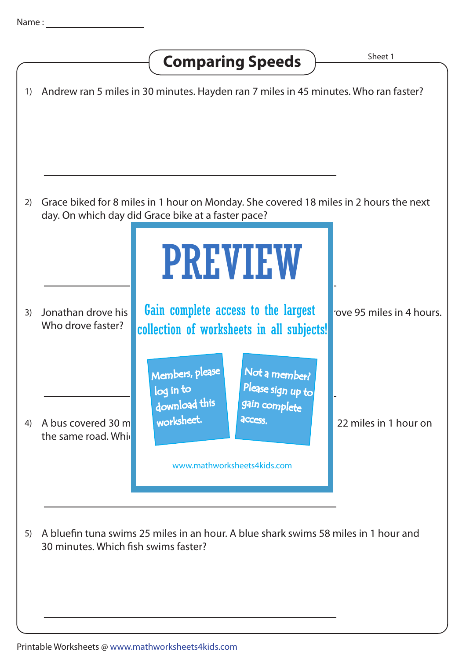